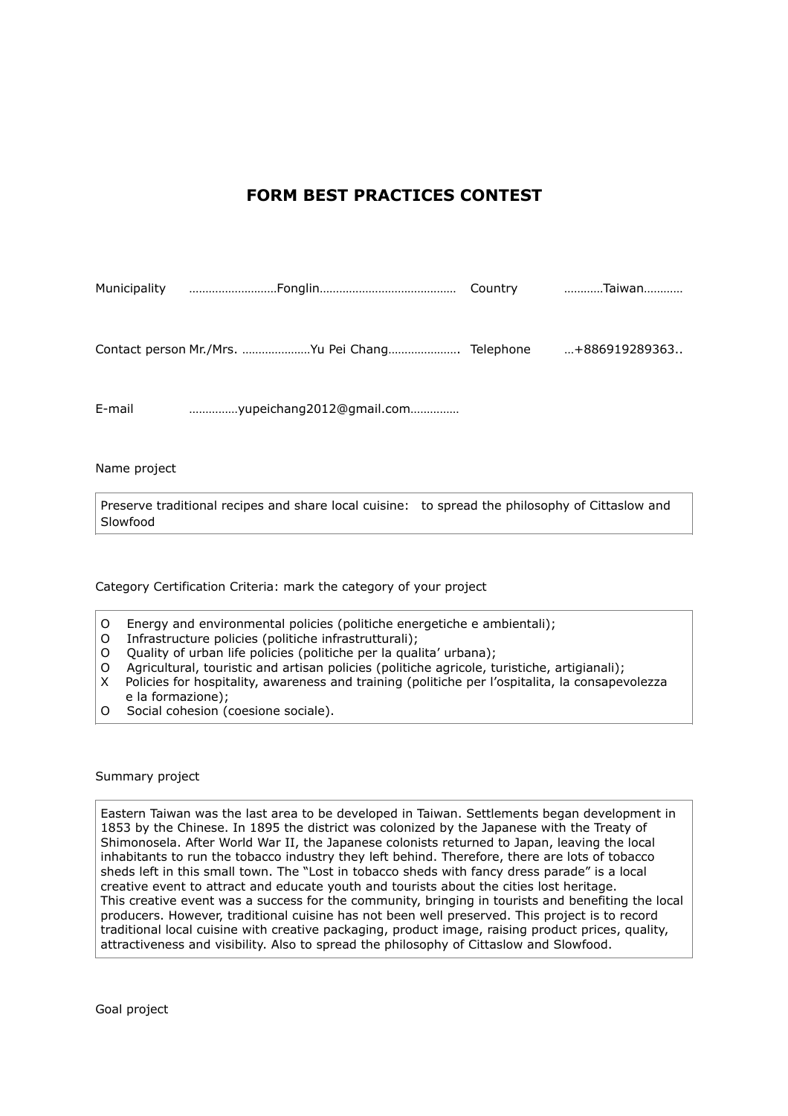## **FORM BEST PRACTICES CONTEST**

| Municipality | Country | Taiwan        |
|--------------|---------|---------------|
|              |         |               |
|              |         | +886919289363 |
| E-mail       |         |               |
|              |         |               |

Name project

Preserve traditional recipes and share local cuisine: to spread the philosophy of Cittaslow and Slowfood

Category Certification Criteria: mark the category of your project

- O Energy and environmental policies (politiche energetiche e ambientali);<br>O Infrastructure policies (politiche infrastrutturali):
- Infrastructure policies (politiche infrastrutturali);
- O Quality of urban life policies (politiche per la qualita' urbana);
- O Agricultural, touristic and artisan policies (politiche agricole, turistiche, artigianali);
- X Policies for hospitality, awareness and training (politiche per l'ospitalita, la consapevolezza e la formazione);
- O Social cohesion (coesione sociale).

Summary project

Eastern Taiwan was the last area to be developed in Taiwan. Settlements began development in 1853 by the Chinese. In 1895 the district was colonized by the Japanese with the Treaty of Shimonosela. After World War II, the Japanese colonists returned to Japan, leaving the local inhabitants to run the tobacco industry they left behind. Therefore, there are lots of tobacco sheds left in this small town. The "Lost in tobacco sheds with fancy dress parade" is a local creative event to attract and educate youth and tourists about the cities lost heritage. This creative event was a success for the community, bringing in tourists and benefiting the local producers. However, traditional cuisine has not been well preserved. This project is to record traditional local cuisine with creative packaging, product image, raising product prices, quality, attractiveness and visibility. Also to spread the philosophy of Cittaslow and Slowfood.

Goal project